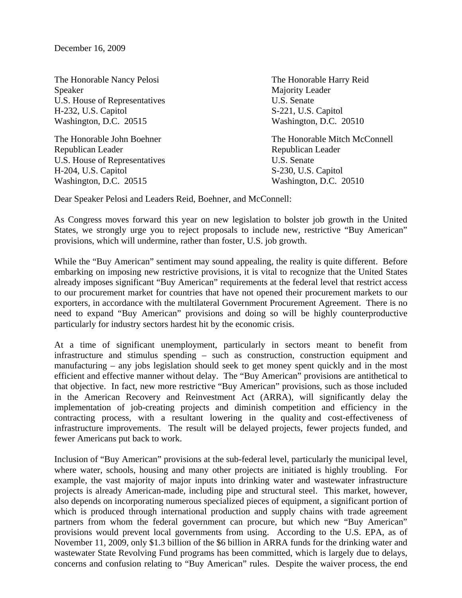December 16, 2009

The Honorable Nancy Pelosi The Honorable Harry Reid Speaker Majority Leader U.S. House of Representatives U.S. Senate H-232, U.S. Capitol S-221, U.S. Capitol Washington, D.C. 20515 Washington, D.C. 20510

Republican Leader **Republican Leader** Republican Leader U.S. House of Representatives U.S. Senate H-204, U.S. Capitol S-230, U.S. Capitol Washington, D.C. 20515 Washington, D.C. 20510

The Honorable John Boehner The Honorable Mitch McConnell

Dear Speaker Pelosi and Leaders Reid, Boehner, and McConnell:

As Congress moves forward this year on new legislation to bolster job growth in the United States, we strongly urge you to reject proposals to include new, restrictive "Buy American" provisions, which will undermine, rather than foster, U.S. job growth.

While the "Buy American" sentiment may sound appealing, the reality is quite different. Before embarking on imposing new restrictive provisions, it is vital to recognize that the United States already imposes significant "Buy American" requirements at the federal level that restrict access to our procurement market for countries that have not opened their procurement markets to our exporters, in accordance with the multilateral Government Procurement Agreement. There is no need to expand "Buy American" provisions and doing so will be highly counterproductive particularly for industry sectors hardest hit by the economic crisis.

At a time of significant unemployment, particularly in sectors meant to benefit from infrastructure and stimulus spending – such as construction, construction equipment and manufacturing – any jobs legislation should seek to get money spent quickly and in the most efficient and effective manner without delay. The "Buy American" provisions are antithetical to that objective. In fact, new more restrictive "Buy American" provisions, such as those included in the American Recovery and Reinvestment Act (ARRA), will significantly delay the implementation of job-creating projects and diminish competition and efficiency in the contracting process, with a resultant lowering in the quality and cost-effectiveness of infrastructure improvements. The result will be delayed projects, fewer projects funded, and fewer Americans put back to work.

Inclusion of "Buy American" provisions at the sub-federal level, particularly the municipal level, where water, schools, housing and many other projects are initiated is highly troubling. For example, the vast majority of major inputs into drinking water and wastewater infrastructure projects is already American-made, including pipe and structural steel. This market, however, also depends on incorporating numerous specialized pieces of equipment, a significant portion of which is produced through international production and supply chains with trade agreement partners from whom the federal government can procure, but which new "Buy American" provisions would prevent local governments from using. According to the U.S. EPA, as of November 11, 2009, only \$1.3 billion of the \$6 billion in ARRA funds for the drinking water and wastewater State Revolving Fund programs has been committed, which is largely due to delays, concerns and confusion relating to "Buy American" rules. Despite the waiver process, the end